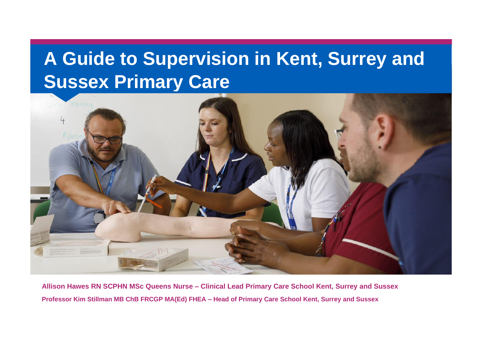## **A Guide to Supervision in Kent, Surrey and Sussex Primary Care**



**Allison Hawes RN SCPHN MSc Queens Nurse – Clinical Lead Primary Care School Kent, Surrey and Sussex Professor Kim Stillman MB ChB FRCGP MA(Ed) FHEA – Head of Primary Care School Kent, Surrey and Sussex**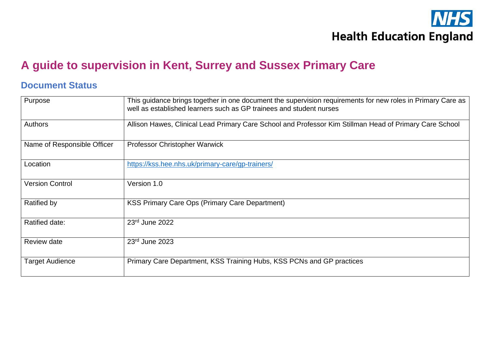

#### **A guide to supervision in Kent, Surrey and Sussex Primary Care**

#### **Document Status**

| Purpose                     | This guidance brings together in one document the supervision requirements for new roles in Primary Care as<br>well as established learners such as GP trainees and student nurses |  |
|-----------------------------|------------------------------------------------------------------------------------------------------------------------------------------------------------------------------------|--|
| Authors                     | Allison Hawes, Clinical Lead Primary Care School and Professor Kim Stillman Head of Primary Care School                                                                            |  |
| Name of Responsible Officer | Professor Christopher Warwick                                                                                                                                                      |  |
| Location                    | https://kss.hee.nhs.uk/primary-care/gp-trainers/                                                                                                                                   |  |
| <b>Version Control</b>      | Version 1.0                                                                                                                                                                        |  |
| Ratified by                 | <b>KSS Primary Care Ops (Primary Care Department)</b>                                                                                                                              |  |
| Ratified date:              | 23rd June 2022                                                                                                                                                                     |  |
| <b>Review date</b>          | $23rd$ June 2023                                                                                                                                                                   |  |
| <b>Target Audience</b>      | Primary Care Department, KSS Training Hubs, KSS PCNs and GP practices                                                                                                              |  |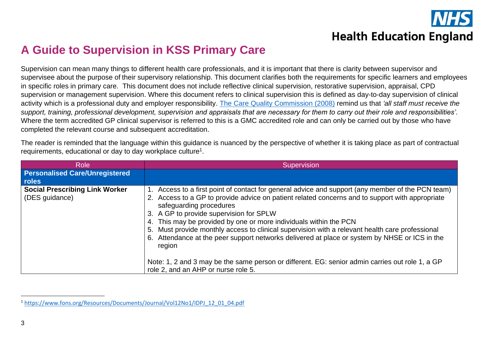

#### **A Guide to Supervision in KSS Primary Care**

Supervision can mean many things to different health care professionals, and it is important that there is clarity between supervisor and supervisee about the purpose of their supervisory relationship. This document clarifies both the requirements for specific learners and employees in specific roles in primary care. This document does not include reflective clinical supervision, restorative supervision, appraisal, CPD supervision or management supervision. Where this document refers to clinical supervision this is defined as day-to-day supervision of clinical activity which is a professional duty and employer responsibility. [The Care Quality Commission \(2008\)](https://www.cqc.org.uk/guidance-providers/regulations-enforcement/regulation-18-staffing) remind us that *'all staff must receive the support, training, professional development, supervision and appraisals that are necessary for them to carry out their role and responsibilities'.* Where the term accredited GP clinical supervisor is referred to this is a GMC accredited role and can only be carried out by those who have completed the relevant course and subsequent accreditation.

The reader is reminded that the language within this guidance is nuanced by the perspective of whether it is taking place as part of contractual requirements, educational or day to day workplace culture<sup>1</sup>.

| <b>Personalised Care/Unregistered</b><br>roles                    |                                                                                                                                                                                                                                                                                                                                                                                                                                                                                                                                                                                                                                                     |
|-------------------------------------------------------------------|-----------------------------------------------------------------------------------------------------------------------------------------------------------------------------------------------------------------------------------------------------------------------------------------------------------------------------------------------------------------------------------------------------------------------------------------------------------------------------------------------------------------------------------------------------------------------------------------------------------------------------------------------------|
| <b>Social Prescribing Link Worker</b><br>(DES guidance)<br>region | Access to a first point of contact for general advice and support (any member of the PCN team)<br>2. Access to a GP to provide advice on patient related concerns and to support with appropriate<br>safeguarding procedures<br>3. A GP to provide supervision for SPLW<br>4. This may be provided by one or more individuals within the PCN<br>5. Must provide monthly access to clinical supervision with a relevant health care professional<br>6. Attendance at the peer support networks delivered at place or system by NHSE or ICS in the<br>Note: 1, 2 and 3 may be the same person or different. EG: senior admin carries out role 1, a GP |

<sup>1</sup> [https://www.fons.org/Resources/Documents/Journal/Vol12No1/IDPJ\\_12\\_01\\_04.pdf](https://protect-eu.mimecast.com/s/_ZEECRPDYIyrmW1U9fmQ7?domain=fons.org)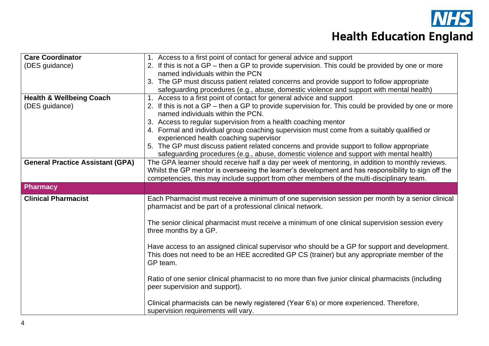

| <b>Care Coordinator</b>                 | 1. Access to a first point of contact for general advice and support                                 |  |
|-----------------------------------------|------------------------------------------------------------------------------------------------------|--|
| (DES guidance)                          | 2. If this is not a GP – then a GP to provide supervision. This could be provided by one or more     |  |
|                                         | named individuals within the PCN                                                                     |  |
|                                         | 3. The GP must discuss patient related concerns and provide support to follow appropriate            |  |
|                                         | safeguarding procedures (e.g., abuse, domestic violence and support with mental health)              |  |
| <b>Health &amp; Wellbeing Coach</b>     | 1. Access to a first point of contact for general advice and support                                 |  |
| (DES quidance)                          | 2. If this is not a GP – then a GP to provide supervision for. This could be provided by one or more |  |
|                                         | named individuals within the PCN.                                                                    |  |
|                                         | 3. Access to regular supervision from a health coaching mentor                                       |  |
|                                         | 4. Formal and individual group coaching supervision must come from a suitably qualified or           |  |
|                                         | experienced health coaching supervisor                                                               |  |
|                                         | 5. The GP must discuss patient related concerns and provide support to follow appropriate            |  |
|                                         | safeguarding procedures (e.g., abuse, domestic violence and support with mental health)              |  |
| <b>General Practice Assistant (GPA)</b> | The GPA learner should receive half a day per week of mentoring, in addition to monthly reviews.     |  |
|                                         | Whilst the GP mentor is overseeing the learner's development and has responsibility to sign off the  |  |
|                                         | competencies, this may include support from other members of the multi-disciplinary team.            |  |
| <b>Pharmacy</b>                         |                                                                                                      |  |
| <b>Clinical Pharmacist</b>              | Each Pharmacist must receive a minimum of one supervision session per month by a senior clinical     |  |
|                                         | pharmacist and be part of a professional clinical network.                                           |  |
|                                         |                                                                                                      |  |
|                                         |                                                                                                      |  |
|                                         | The senior clinical pharmacist must receive a minimum of one clinical supervision session every      |  |
|                                         | three months by a GP.                                                                                |  |
|                                         |                                                                                                      |  |
|                                         | Have access to an assigned clinical supervisor who should be a GP for support and development.       |  |
|                                         | This does not need to be an HEE accredited GP CS (trainer) but any appropriate member of the         |  |
|                                         | GP team.                                                                                             |  |
|                                         |                                                                                                      |  |
|                                         | Ratio of one senior clinical pharmacist to no more than five junior clinical pharmacists (including  |  |
|                                         | peer supervision and support).                                                                       |  |
|                                         | Clinical pharmacists can be newly registered (Year 6's) or more experienced. Therefore,              |  |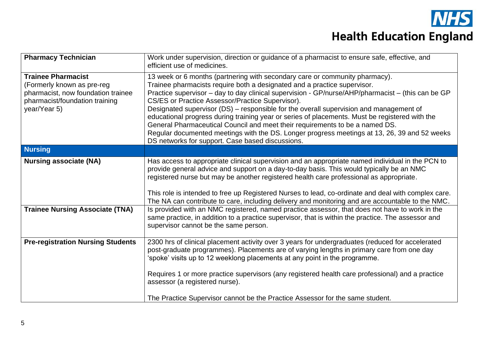

| <b>Pharmacy Technician</b>                                                                                                                      | Work under supervision, direction or guidance of a pharmacist to ensure safe, effective, and<br>efficient use of medicines.                                                                                                                                                                                                                                                                                                                                                                                                                                                                                                                                                                                                                      |
|-------------------------------------------------------------------------------------------------------------------------------------------------|--------------------------------------------------------------------------------------------------------------------------------------------------------------------------------------------------------------------------------------------------------------------------------------------------------------------------------------------------------------------------------------------------------------------------------------------------------------------------------------------------------------------------------------------------------------------------------------------------------------------------------------------------------------------------------------------------------------------------------------------------|
| <b>Trainee Pharmacist</b><br>(Formerly known as pre-reg<br>pharmacist, now foundation trainee<br>pharmacist/foundation training<br>year/Year 5) | 13 week or 6 months (partnering with secondary care or community pharmacy).<br>Trainee pharmacists require both a designated and a practice supervisor.<br>Practice supervisor – day to day clinical supervision - GP/nurse/AHP/pharmacist – (this can be GP<br>CS/ES or Practice Assessor/Practice Supervisor).<br>Designated supervisor (DS) – responsible for the overall supervision and management of<br>educational progress during training year or series of placements. Must be registered with the<br>General Pharmaceutical Council and meet their requirements to be a named DS.<br>Regular documented meetings with the DS. Longer progress meetings at 13, 26, 39 and 52 weeks<br>DS networks for support. Case based discussions. |
| <b>Nursing</b>                                                                                                                                  |                                                                                                                                                                                                                                                                                                                                                                                                                                                                                                                                                                                                                                                                                                                                                  |
| <b>Nursing associate (NA)</b><br><b>Trainee Nursing Associate (TNA)</b>                                                                         | Has access to appropriate clinical supervision and an appropriate named individual in the PCN to<br>provide general advice and support on a day-to-day basis. This would typically be an NMC<br>registered nurse but may be another registered health care professional as appropriate.<br>This role is intended to free up Registered Nurses to lead, co-ordinate and deal with complex care.<br>The NA can contribute to care, including delivery and monitoring and are accountable to the NMC.<br>Is provided with an NMC registered, named practice assessor, that does not have to work in the<br>same practice, in addition to a practice supervisor, that is within the practice. The assessor and                                       |
|                                                                                                                                                 | supervisor cannot be the same person.                                                                                                                                                                                                                                                                                                                                                                                                                                                                                                                                                                                                                                                                                                            |
| <b>Pre-registration Nursing Students</b>                                                                                                        | 2300 hrs of clinical placement activity over 3 years for undergraduates (reduced for accelerated<br>post-graduate programmes). Placements are of varying lengths in primary care from one day<br>'spoke' visits up to 12 weeklong placements at any point in the programme.<br>Requires 1 or more practice supervisors (any registered health care professional) and a practice                                                                                                                                                                                                                                                                                                                                                                  |
|                                                                                                                                                 | assessor (a registered nurse).                                                                                                                                                                                                                                                                                                                                                                                                                                                                                                                                                                                                                                                                                                                   |
|                                                                                                                                                 | The Practice Supervisor cannot be the Practice Assessor for the same student.                                                                                                                                                                                                                                                                                                                                                                                                                                                                                                                                                                                                                                                                    |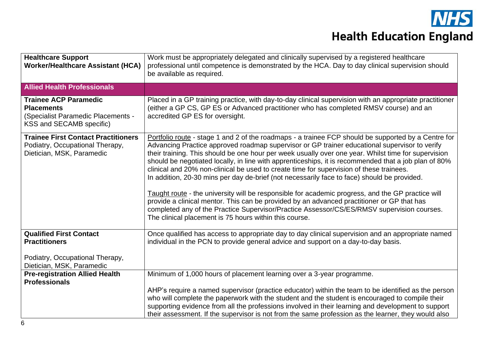| <b>Healthcare Support</b><br><b>Worker/Healthcare Assistant (HCA)</b>                                               | Work must be appropriately delegated and clinically supervised by a registered healthcare<br>professional until competence is demonstrated by the HCA. Day to day clinical supervision should<br>be available as required.                                                                                                                                                                                                                                                                                                                                                                                                                                                                                                                                                                                                                                                                                                                                               |  |
|---------------------------------------------------------------------------------------------------------------------|--------------------------------------------------------------------------------------------------------------------------------------------------------------------------------------------------------------------------------------------------------------------------------------------------------------------------------------------------------------------------------------------------------------------------------------------------------------------------------------------------------------------------------------------------------------------------------------------------------------------------------------------------------------------------------------------------------------------------------------------------------------------------------------------------------------------------------------------------------------------------------------------------------------------------------------------------------------------------|--|
| <b>Allied Health Professionals</b>                                                                                  |                                                                                                                                                                                                                                                                                                                                                                                                                                                                                                                                                                                                                                                                                                                                                                                                                                                                                                                                                                          |  |
| <b>Trainee ACP Paramedic</b><br><b>Placements</b><br>(Specialist Paramedic Placements -<br>KSS and SECAMB specific) | Placed in a GP training practice, with day-to-day clinical supervision with an appropriate practitioner<br>(either a GP CS, GP ES or Advanced practitioner who has completed RMSV course) and an<br>accredited GP ES for oversight.                                                                                                                                                                                                                                                                                                                                                                                                                                                                                                                                                                                                                                                                                                                                      |  |
| <b>Trainee First Contact Practitioners</b><br>Podiatry, Occupational Therapy,<br>Dietician, MSK, Paramedic          | Portfolio route - stage 1 and 2 of the roadmaps - a trainee FCP should be supported by a Centre for<br>Advancing Practice approved roadmap supervisor or GP trainer educational supervisor to verify<br>their training. This should be one hour per week usually over one year. Whilst time for supervision<br>should be negotiated locally, in line with apprenticeships, it is recommended that a job plan of 80%<br>clinical and 20% non-clinical be used to create time for supervision of these trainees.<br>In addition, 20-30 mins per day de-brief (not necessarily face to face) should be provided.<br>Taught route - the university will be responsible for academic progress, and the GP practice will<br>provide a clinical mentor. This can be provided by an advanced practitioner or GP that has<br>completed any of the Practice Supervisor/Practice Assessor/CS/ES/RMSV supervision courses.<br>The clinical placement is 75 hours within this course. |  |
| <b>Qualified First Contact</b><br><b>Practitioners</b><br>Podiatry, Occupational Therapy,                           | Once qualified has access to appropriate day to day clinical supervision and an appropriate named<br>individual in the PCN to provide general advice and support on a day-to-day basis.                                                                                                                                                                                                                                                                                                                                                                                                                                                                                                                                                                                                                                                                                                                                                                                  |  |
| Dietician, MSK, Paramedic<br><b>Pre-registration Allied Health</b>                                                  | Minimum of 1,000 hours of placement learning over a 3-year programme.                                                                                                                                                                                                                                                                                                                                                                                                                                                                                                                                                                                                                                                                                                                                                                                                                                                                                                    |  |
| <b>Professionals</b>                                                                                                |                                                                                                                                                                                                                                                                                                                                                                                                                                                                                                                                                                                                                                                                                                                                                                                                                                                                                                                                                                          |  |
|                                                                                                                     | AHP's require a named supervisor (practice educator) within the team to be identified as the person                                                                                                                                                                                                                                                                                                                                                                                                                                                                                                                                                                                                                                                                                                                                                                                                                                                                      |  |
|                                                                                                                     | who will complete the paperwork with the student and the student is encouraged to compile their<br>supporting evidence from all the professions involved in their learning and development to support<br>their assessment. If the supervisor is not from the same profession as the learner, they would also                                                                                                                                                                                                                                                                                                                                                                                                                                                                                                                                                                                                                                                             |  |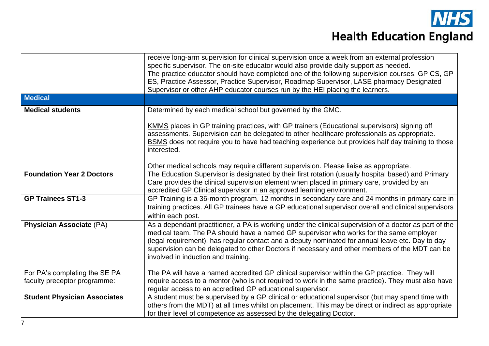

|                                     | receive long-arm supervision for clinical supervision once a week from an external profession<br>specific supervisor. The on-site educator would also provide daily support as needed.<br>The practice educator should have completed one of the following supervision courses: GP CS, GP<br>ES, Practice Assessor, Practice Supervisor, Roadmap Supervisor, LASE pharmacy Designated<br>Supervisor or other AHP educator courses run by the HEI placing the learners. |
|-------------------------------------|------------------------------------------------------------------------------------------------------------------------------------------------------------------------------------------------------------------------------------------------------------------------------------------------------------------------------------------------------------------------------------------------------------------------------------------------------------------------|
| <b>Medical</b>                      |                                                                                                                                                                                                                                                                                                                                                                                                                                                                        |
| <b>Medical students</b>             | Determined by each medical school but governed by the GMC.                                                                                                                                                                                                                                                                                                                                                                                                             |
|                                     | KMMS places in GP training practices, with GP trainers (Educational supervisors) signing off<br>assessments. Supervision can be delegated to other healthcare professionals as appropriate.<br>BSMS does not require you to have had teaching experience but provides half day training to those<br>interested.                                                                                                                                                        |
|                                     | Other medical schools may require different supervision. Please liaise as appropriate.                                                                                                                                                                                                                                                                                                                                                                                 |
| <b>Foundation Year 2 Doctors</b>    | The Education Supervisor is designated by their first rotation (usually hospital based) and Primary<br>Care provides the clinical supervision element when placed in primary care, provided by an<br>accredited GP Clinical supervisor in an approved learning environment.                                                                                                                                                                                            |
| <b>GP Trainees ST1-3</b>            | GP Training is a 36-month program. 12 months in secondary care and 24 months in primary care in<br>training practices. All GP trainees have a GP educational supervisor overall and clinical supervisors<br>within each post.                                                                                                                                                                                                                                          |
| <b>Physician Associate (PA)</b>     | As a dependant practitioner, a PA is working under the clinical supervision of a doctor as part of the<br>medical team. The PA should have a named GP supervisor who works for the same employer<br>(legal requirement), has regular contact and a deputy nominated for annual leave etc. Day to day<br>supervision can be delegated to other Doctors if necessary and other members of the MDT can be<br>involved in induction and training.                          |
| For PA's completing the SE PA       | The PA will have a named accredited GP clinical supervisor within the GP practice. They will                                                                                                                                                                                                                                                                                                                                                                           |
| faculty preceptor programme:        | require access to a mentor (who is not required to work in the same practice). They must also have<br>regular access to an accredited GP educational supervisor.                                                                                                                                                                                                                                                                                                       |
| <b>Student Physician Associates</b> | A student must be supervised by a GP clinical or educational supervisor (but may spend time with<br>others from the MDT) at all times whilst on placement. This may be direct or indirect as appropriate<br>for their level of competence as assessed by the delegating Doctor.                                                                                                                                                                                        |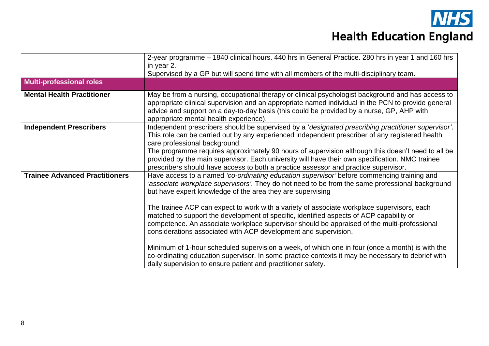|                                       | 2-year programme – 1840 clinical hours. 440 hrs in General Practice. 280 hrs in year 1 and 160 hrs                                                                                                                                                                                                                                                                                                                                                                                                                                                                                                                                                                                                                                                                                                                                                                                            |
|---------------------------------------|-----------------------------------------------------------------------------------------------------------------------------------------------------------------------------------------------------------------------------------------------------------------------------------------------------------------------------------------------------------------------------------------------------------------------------------------------------------------------------------------------------------------------------------------------------------------------------------------------------------------------------------------------------------------------------------------------------------------------------------------------------------------------------------------------------------------------------------------------------------------------------------------------|
|                                       | in year 2.                                                                                                                                                                                                                                                                                                                                                                                                                                                                                                                                                                                                                                                                                                                                                                                                                                                                                    |
|                                       | Supervised by a GP but will spend time with all members of the multi-disciplinary team.                                                                                                                                                                                                                                                                                                                                                                                                                                                                                                                                                                                                                                                                                                                                                                                                       |
| <b>Multi-professional roles</b>       |                                                                                                                                                                                                                                                                                                                                                                                                                                                                                                                                                                                                                                                                                                                                                                                                                                                                                               |
| <b>Mental Health Practitioner</b>     | May be from a nursing, occupational therapy or clinical psychologist background and has access to<br>appropriate clinical supervision and an appropriate named individual in the PCN to provide general<br>advice and support on a day-to-day basis (this could be provided by a nurse, GP, AHP with<br>appropriate mental health experience).                                                                                                                                                                                                                                                                                                                                                                                                                                                                                                                                                |
| <b>Independent Prescribers</b>        | Independent prescribers should be supervised by a 'designated prescribing practitioner supervisor'.<br>This role can be carried out by any experienced independent prescriber of any registered health<br>care professional background.<br>The programme requires approximately 90 hours of supervision although this doesn't need to all be<br>provided by the main supervisor. Each university will have their own specification. NMC trainee<br>prescribers should have access to both a practice assessor and practice supervisor.                                                                                                                                                                                                                                                                                                                                                        |
| <b>Trainee Advanced Practitioners</b> | Have access to a named 'co-ordinating education supervisor' before commencing training and<br>associate workplace supervisors'. They do not need to be from the same professional background<br>but have expert knowledge of the area they are supervising<br>The trainee ACP can expect to work with a variety of associate workplace supervisors, each<br>matched to support the development of specific, identified aspects of ACP capability or<br>competence. An associate workplace supervisor should be appraised of the multi-professional<br>considerations associated with ACP development and supervision.<br>Minimum of 1-hour scheduled supervision a week, of which one in four (once a month) is with the<br>co-ordinating education supervisor. In some practice contexts it may be necessary to debrief with<br>daily supervision to ensure patient and practitioner safety. |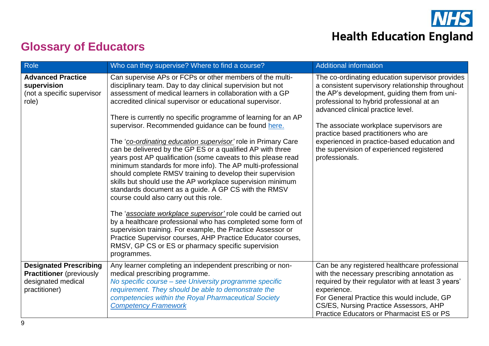

### **Glossary of Educators**

| Role                                                                                                    | Who can they supervise? Where to find a course?                                                                                                                                                                                                                                                                                                                                                                                                                                                                                                                                                                                                                                                                                                                                                                                                                                                                                                                                                                                                                                                                                                                                                            | <b>Additional information</b>                                                                                                                                                                                                                                                                                                                                                                                                          |
|---------------------------------------------------------------------------------------------------------|------------------------------------------------------------------------------------------------------------------------------------------------------------------------------------------------------------------------------------------------------------------------------------------------------------------------------------------------------------------------------------------------------------------------------------------------------------------------------------------------------------------------------------------------------------------------------------------------------------------------------------------------------------------------------------------------------------------------------------------------------------------------------------------------------------------------------------------------------------------------------------------------------------------------------------------------------------------------------------------------------------------------------------------------------------------------------------------------------------------------------------------------------------------------------------------------------------|----------------------------------------------------------------------------------------------------------------------------------------------------------------------------------------------------------------------------------------------------------------------------------------------------------------------------------------------------------------------------------------------------------------------------------------|
| <b>Advanced Practice</b><br>supervision<br>(not a specific supervisor<br>role)                          | Can supervise APs or FCPs or other members of the multi-<br>disciplinary team. Day to day clinical supervision but not<br>assessment of medical learners in collaboration with a GP<br>accredited clinical supervisor or educational supervisor.<br>There is currently no specific programme of learning for an AP<br>supervisor. Recommended guidance can be found here.<br>The 'co-ordinating education supervisor' role in Primary Care<br>can be delivered by the GP ES or a qualified AP with three<br>years post AP qualification (some caveats to this please read<br>minimum standards for more info). The AP multi-professional<br>should complete RMSV training to develop their supervision<br>skills but should use the AP workplace supervision minimum<br>standards document as a guide. A GP CS with the RMSV<br>course could also carry out this role.<br>The 'associate workplace supervisor' role could be carried out<br>by a healthcare professional who has completed some form of<br>supervision training. For example, the Practice Assessor or<br>Practice Supervisor courses, AHP Practice Educator courses,<br>RMSV, GP CS or ES or pharmacy specific supervision<br>programmes. | The co-ordinating education supervisor provides<br>a consistent supervisory relationship throughout<br>the AP's development, guiding them from uni-<br>professional to hybrid professional at an<br>advanced clinical practice level.<br>The associate workplace supervisors are<br>practice based practitioners who are<br>experienced in practice-based education and<br>the supervision of experienced registered<br>professionals. |
| <b>Designated Prescribing</b><br><b>Practitioner</b> (previously<br>designated medical<br>practitioner) | Any learner completing an independent prescribing or non-<br>medical prescribing programme.<br>No specific course - see University programme specific<br>requirement. They should be able to demonstrate the<br>competencies within the Royal Pharmaceutical Society<br><b>Competency Framework</b>                                                                                                                                                                                                                                                                                                                                                                                                                                                                                                                                                                                                                                                                                                                                                                                                                                                                                                        | Can be any registered healthcare professional<br>with the necessary prescribing annotation as<br>required by their regulator with at least 3 years'<br>experience.<br>For General Practice this would include, GP<br>CS/ES, Nursing Practice Assessors, AHP<br>Practice Educators or Pharmacist ES or PS                                                                                                                               |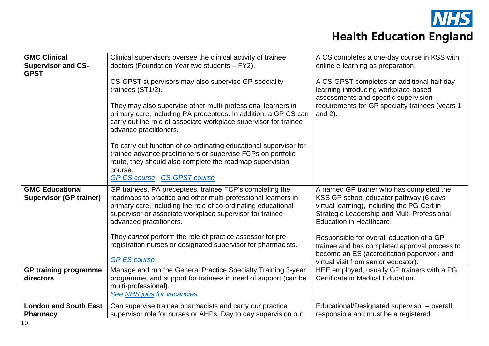

| <b>GMC Clinical</b><br><b>Supervisor and CS-</b><br><b>GPST</b> | Clinical supervisors oversee the clinical activity of trainee<br>doctors (Foundation Year two students - FY2).<br>CS-GPST supervisors may also supervise GP speciality                                                                                                                                                  | A CS completes a one-day course in KSS with<br>online e-learning as preparation.<br>A CS-GPST completes an additional half day                                                                               |  |
|-----------------------------------------------------------------|-------------------------------------------------------------------------------------------------------------------------------------------------------------------------------------------------------------------------------------------------------------------------------------------------------------------------|--------------------------------------------------------------------------------------------------------------------------------------------------------------------------------------------------------------|--|
|                                                                 | trainees (ST1/2).<br>They may also supervise other multi-professional learners in<br>primary care, including PA preceptees. In addition, a GP CS can<br>carry out the role of associate workplace supervisor for trainee<br>advance practitioners.<br>To carry out function of co-ordinating educational supervisor for | learning introducing workplace-based<br>assessments and specific supervision<br>requirements for GP specialty trainees (years 1<br>and $2$ ).                                                                |  |
|                                                                 | trainee advance practitioners or supervise FCPs on portfolio<br>route, they should also complete the roadmap supervision<br>course.<br><b>GP CS course CS-GPST course</b>                                                                                                                                               |                                                                                                                                                                                                              |  |
| <b>GMC Educational</b><br><b>Supervisor (GP trainer)</b>        | GP trainees, PA preceptees, trainee FCP's completing the<br>roadmaps to practice and other multi-professional learners in<br>primary care, including the role of co-ordinating educational<br>supervisor or associate workplace supervisor for trainee<br>advanced practitioners.                                       | A named GP trainer who has completed the<br>KSS GP school educator pathway (6 days<br>virtual learning), including the PG Cert in<br>Strategic Leadership and Multi-Professional<br>Education in Healthcare. |  |
|                                                                 | They cannot perform the role of practice assessor for pre-<br>registration nurses or designated supervisor for pharmacists.<br><b>GP ES course</b>                                                                                                                                                                      | Responsible for overall education of a GP<br>trainee and has completed approval process to<br>become an ES (accreditation paperwork and<br>virtual visit from senior educator).                              |  |
| <b>GP training programme</b><br>directors                       | Manage and run the General Practice Specialty Training 3-year<br>programme, and support for trainees in need of support (can be<br>multi-professional).<br>See NHS jobs for vacancies                                                                                                                                   | HEE employed, usually GP trainers with a PG<br>Certificate in Medical Education.                                                                                                                             |  |
| <b>London and South East</b><br><b>Pharmacy</b>                 | Can supervise trainee pharmacists and carry our practice<br>supervisor role for nurses or AHPs. Day to day supervision but                                                                                                                                                                                              | Educational/Designated supervisor - overall<br>responsible and must be a registered                                                                                                                          |  |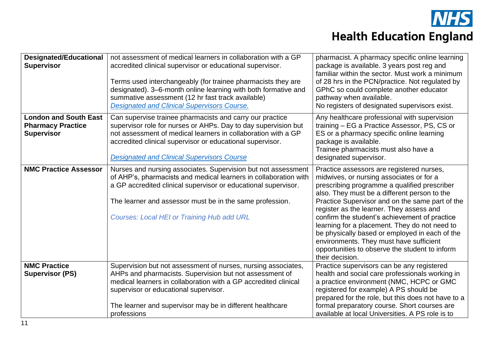

| <b>Designated/Educational</b><br><b>Supervisor</b>                            | not assessment of medical learners in collaboration with a GP<br>accredited clinical supervisor or educational supervisor.<br>Terms used interchangeably (for trainee pharmacists they are<br>designated). 3-6-month online learning with both formative and<br>summative assessment (12 hr fast track available)<br>Designated and Clinical Supervisors Course. | pharmacist. A pharmacy specific online learning<br>package is available. 3 years post reg and<br>familiar within the sector. Must work a minimum<br>of 28 hrs in the PCN/practice. Not regulated by<br>GPhC so could complete another educator<br>pathway when available.<br>No registers of designated supervisors exist.                                                                                                                                                                                                                               |
|-------------------------------------------------------------------------------|------------------------------------------------------------------------------------------------------------------------------------------------------------------------------------------------------------------------------------------------------------------------------------------------------------------------------------------------------------------|----------------------------------------------------------------------------------------------------------------------------------------------------------------------------------------------------------------------------------------------------------------------------------------------------------------------------------------------------------------------------------------------------------------------------------------------------------------------------------------------------------------------------------------------------------|
| <b>London and South East</b><br><b>Pharmacy Practice</b><br><b>Supervisor</b> | Can supervise trainee pharmacists and carry our practice<br>supervisor role for nurses or AHPs. Day to day supervision but<br>not assessment of medical learners in collaboration with a GP<br>accredited clinical supervisor or educational supervisor.<br><b>Designated and Clinical Supervisors Course</b>                                                    | Any healthcare professional with supervision<br>training – EG a Practice Assessor, PS, CS or<br>ES or a pharmacy specific online learning<br>package is available.<br>Trainee pharmacists must also have a<br>designated supervisor.                                                                                                                                                                                                                                                                                                                     |
| <b>NMC Practice Assessor</b>                                                  | Nurses and nursing associates. Supervision but not assessment<br>of AHP's, pharmacists and medical learners in collaboration with<br>a GP accredited clinical supervisor or educational supervisor.<br>The learner and assessor must be in the same profession.<br><b>Courses: Local HEI or Training Hub add URL</b>                                             | Practice assessors are registered nurses,<br>midwives, or nursing associates or for a<br>prescribing programme a qualified prescriber<br>also. They must be a different person to the<br>Practice Supervisor and on the same part of the<br>register as the learner. They assess and<br>confirm the student's achievement of practice<br>learning for a placement. They do not need to<br>be physically based or employed in each of the<br>environments. They must have sufficient<br>opportunities to observe the student to inform<br>their decision. |
| <b>NMC Practice</b><br><b>Supervisor (PS)</b>                                 | Supervision but not assessment of nurses, nursing associates,<br>AHPs and pharmacists. Supervision but not assessment of<br>medical learners in collaboration with a GP accredited clinical<br>supervisor or educational supervisor.<br>The learner and supervisor may be in different healthcare<br>professions                                                 | Practice supervisors can be any registered<br>health and social care professionals working in<br>a practice environment (NMC, HCPC or GMC<br>registered for example) A PS should be<br>prepared for the role, but this does not have to a<br>formal preparatory course. Short courses are<br>available at local Universities. A PS role is to                                                                                                                                                                                                            |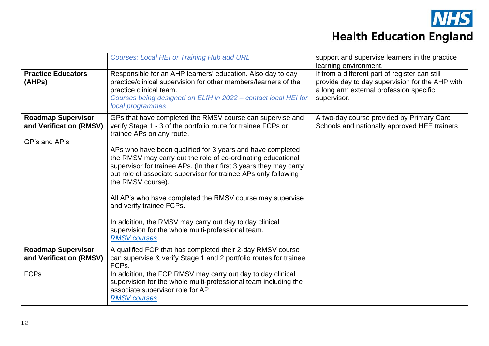

|                                                                       | <b>Courses: Local HEI or Training Hub add URL</b>                                                                                                                                                                                                                                                                                                                                                                                                                                                                                                                                                                                                                                    | support and supervise learners in the practice<br>learning environment.                                                                                     |
|-----------------------------------------------------------------------|--------------------------------------------------------------------------------------------------------------------------------------------------------------------------------------------------------------------------------------------------------------------------------------------------------------------------------------------------------------------------------------------------------------------------------------------------------------------------------------------------------------------------------------------------------------------------------------------------------------------------------------------------------------------------------------|-------------------------------------------------------------------------------------------------------------------------------------------------------------|
| <b>Practice Educators</b><br>(AHPs)                                   | Responsible for an AHP learners' education. Also day to day<br>practice/clinical supervision for other members/learners of the<br>practice clinical team.<br>Courses being designed on ELfH in 2022 - contact local HEI for<br>local programmes                                                                                                                                                                                                                                                                                                                                                                                                                                      | If from a different part of register can still<br>provide day to day supervision for the AHP with<br>a long arm external profession specific<br>supervisor. |
| <b>Roadmap Supervisor</b><br>and Verification (RMSV)<br>GP's and AP's | GPs that have completed the RMSV course can supervise and<br>verify Stage 1 - 3 of the portfolio route for trainee FCPs or<br>trainee APs on any route.<br>APs who have been qualified for 3 years and have completed<br>the RMSV may carry out the role of co-ordinating educational<br>supervisor for trainee APs. (In their first 3 years they may carry<br>out role of associate supervisor for trainee APs only following<br>the RMSV course).<br>All AP's who have completed the RMSV course may supervise<br>and verify trainee FCPs.<br>In addition, the RMSV may carry out day to day clinical<br>supervision for the whole multi-professional team.<br><b>RMSV</b> courses | A two-day course provided by Primary Care<br>Schools and nationally approved HEE trainers.                                                                  |
| <b>Roadmap Supervisor</b><br>and Verification (RMSV)                  | A qualified FCP that has completed their 2-day RMSV course<br>can supervise & verify Stage 1 and 2 portfolio routes for trainee<br>FCP <sub>s</sub> .                                                                                                                                                                                                                                                                                                                                                                                                                                                                                                                                |                                                                                                                                                             |
| <b>FCPs</b>                                                           | In addition, the FCP RMSV may carry out day to day clinical<br>supervision for the whole multi-professional team including the<br>associate supervisor role for AP.<br><b>RMSV</b> courses                                                                                                                                                                                                                                                                                                                                                                                                                                                                                           |                                                                                                                                                             |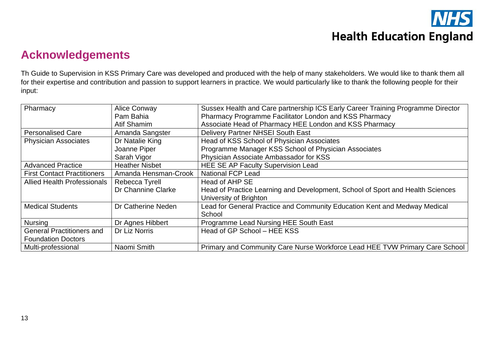#### **Acknowledgements**

Th Guide to Supervision in KSS Primary Care was developed and produced with the help of many stakeholders. We would like to thank them all for their expertise and contribution and passion to support learners in practice. We would particularly like to thank the following people for their input:

| Pharmacy                           | <b>Alice Conway</b>   | Sussex Health and Care partnership ICS Early Career Training Programme Director |
|------------------------------------|-----------------------|---------------------------------------------------------------------------------|
|                                    | Pam Bahia             | Pharmacy Programme Facilitator London and KSS Pharmacy                          |
|                                    | Atif Shamim           | Associate Head of Pharmacy HEE London and KSS Pharmacy                          |
| <b>Personalised Care</b>           | Amanda Sangster       | <b>Delivery Partner NHSEI South East</b>                                        |
| <b>Physician Associates</b>        | Dr Natalie King       | Head of KSS School of Physician Associates                                      |
|                                    | Joanne Piper          | Programme Manager KSS School of Physician Associates                            |
|                                    | Sarah Vigor           | Physician Associate Ambassador for KSS                                          |
| <b>Advanced Practice</b>           | <b>Heather Nisbet</b> | <b>HEE SE AP Faculty Supervision Lead</b>                                       |
| <b>First Contact Practitioners</b> | Amanda Hensman-Crook  | <b>National FCP Lead</b>                                                        |
| <b>Allied Health Professionals</b> | Rebecca Tyrell        | Head of AHP SE                                                                  |
|                                    | Dr Channine Clarke    | Head of Practice Learning and Development, School of Sport and Health Sciences  |
|                                    |                       | University of Brighton                                                          |
| <b>Medical Students</b>            | Dr Catherine Neden    | Lead for General Practice and Community Education Kent and Medway Medical       |
|                                    |                       | School                                                                          |
| <b>Nursing</b>                     | Dr Agnes Hibbert      | Programme Lead Nursing HEE South East                                           |
| <b>General Practitioners and</b>   | Dr Liz Norris         | Head of GP School - HEE KSS                                                     |
| <b>Foundation Doctors</b>          |                       |                                                                                 |
| Multi-professional                 | Naomi Smith           | Primary and Community Care Nurse Workforce Lead HEE TVW Primary Care School     |